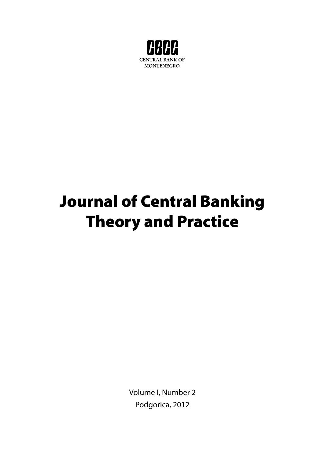

# Journal of Central Banking Theory and Practice

Volume I, Number 2 Podgorica, 2012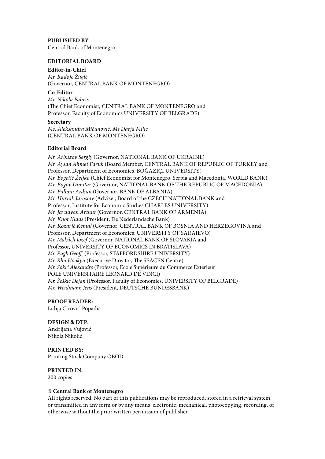**PUBLISHED BY**: Central Bank of Montenegro

#### **EDITORIAL BOARD**

**Editor-in-Chief**  *Mr. Radoje Žugić*  (Governor, CENTRAL BANK OF MONTENEGRO)

**Co-Editor** *Mr. Nikola Fabris* (The Chief Economist, CENTRAL BANK OF MONTENEGRO and Professor, Faculty of Economics UNIVERSITY OF BELGRADE)

#### **Secretary**

*Ms. Aleksandra Mićunović, Ms Darja Milić* (CENTRAL BANK OF MONTENEGRO)

#### **Editorial Board**

*Mr. Arbuzov Sergiy* (Governor, NATIONAL BANK OF UKRAINE) *Mr. Aysan Ahmet Faruk* (Board Member, CENTRAL BANK OF REPUBLIC OF TURKEY and Professor, Department of Economics, BOĞAZIÇI UNIVERSITY) *Mr. Bogetić Željko* (Chief Economist for Montenegro, Serbia and Macedonia, WORLD BANK) *Mr. Bogov Dimitar* (Governor, NATIONAL BANK OF THE REPUBLIC OF MACEDONIA) *Mr. Fullani Ardian* (Governor, BANK OF ALBANIA) *Mr. Hurnìk Jaroslav* (Adviser, Board of the CZECH NATIONAL BANK and Professor, Institute for Economic Studies CHARLES UNIVERSITY) *Mr. Javadyan Arthur* (Governor, CENTRAL BANK OF ARMENIA) *Mr. Knot Klaas* (President, De Nederlandsche Bank) *Mr. Kozarić Kemal* (Governor, CENTRAL BANK OF BOSNIA AND HERZEGOVINA and Professor, Department of Economics, UNIVERSITY OF SARAJEVO) *Mr. Makúch Jozef* (Governor, NATIONAL BANK OF SLOVAKIA and Professor, UNIVERSITY OF ECONOMICS IN BRATISLAVA) *Mr. Pugh Geoff* (Professor, STAFFORDSHIRE UNIVERSITY) *Mr. Rhu Hookyu* (Executive Director, The SEACEN Centre) *Mr. Sokić Alexandre* (Professor, Ecole Supérieure du Commerce Extérieur POLE UNIVERSITAIRE LEONARD DE VINCI) *Mr. Šoškić Dejan* (Professor, Faculty of Economics, UNIVERSITY OF BELGRADE) *Mr. Weidmann Jens* (President, DEUTSCHE BUNDESBANK)

# **PROOF READER:**

Lidija Ćirović-Popadić

### **DESIGN & DTP:**

Andrijana Vujović Nikola Nikolić

# **PRINTED BY:**

Printing Stock Company OBOD

# **PRINTED IN:**

200 copies

#### **© Central Bank of Montenegro**

All rights reserved. No part of this publications may be reproduced, stored in a retrieval system, or transmitted in any form or by any means, electronic, mechanical, photocopying, recording, or otherwise without the prior written permission of publisher.